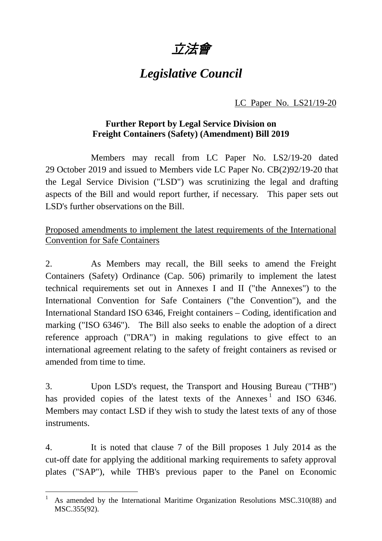

# *Legislative Council*

### LC Paper No. LS21/19-20

#### **Further Report by Legal Service Division on Freight Containers (Safety) (Amendment) Bill 2019**

Members may recall from LC Paper No. LS2/19-20 dated 29 October 2019 and issued to Members vide LC Paper No. CB(2)92/19-20 that the Legal Service Division ("LSD") was scrutinizing the legal and drafting aspects of the Bill and would report further, if necessary. This paper sets out LSD's further observations on the Bill.

## Proposed amendments to implement the latest requirements of the International Convention for Safe Containers

2. As Members may recall, the Bill seeks to amend the Freight Containers (Safety) Ordinance (Cap. 506) primarily to implement the latest technical requirements set out in Annexes I and II ("the Annexes") to the International Convention for Safe Containers ("the Convention"), and the International Standard ISO 6346, Freight containers – Coding, identification and marking ("ISO 6346"). The Bill also seeks to enable the adoption of a direct reference approach ("DRA") in making regulations to give effect to an international agreement relating to the safety of freight containers as revised or amended from time to time.

3. Upon LSD's request, the Transport and Housing Bureau ("THB") has provided copies of the latest texts of the Annexes<sup>[1](#page-0-0)</sup> and ISO 6346. Members may contact LSD if they wish to study the latest texts of any of those instruments.

4. It is noted that clause 7 of the Bill proposes 1 July 2014 as the cut-off date for applying the additional marking requirements to safety approval plates ("SAP"), while THB's previous paper to the Panel on Economic

<span id="page-0-0"></span> <sup>1</sup> As amended by the International Maritime Organization Resolutions MSC.310(88) and MSC.355(92).